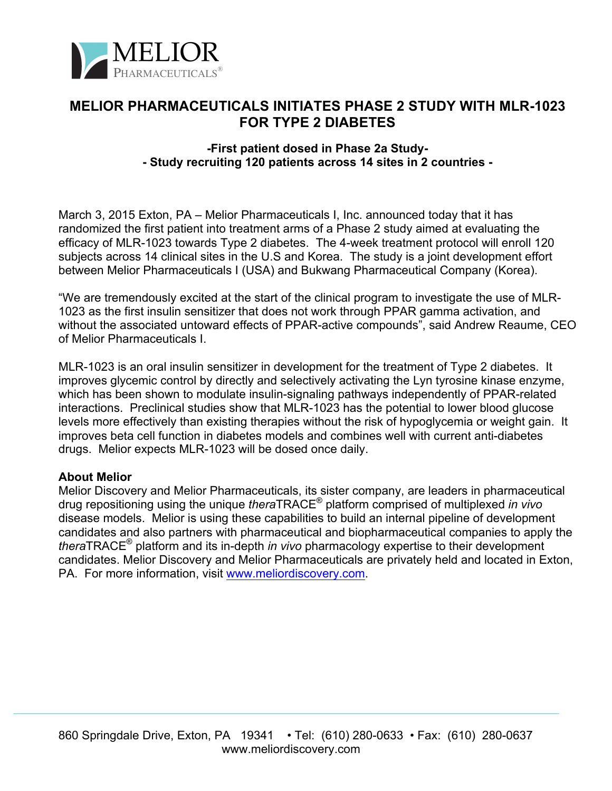

## **MELIOR PHARMACEUTICALS INITIATES PHASE 2 STUDY WITH MLR-1023 FOR TYPE 2 DIABETES**

## **-First patient dosed in Phase 2a Study- - Study recruiting 120 patients across 14 sites in 2 countries -**

March 3, 2015 Exton, PA – Melior Pharmaceuticals I, Inc. announced today that it has randomized the first patient into treatment arms of a Phase 2 study aimed at evaluating the efficacy of MLR-1023 towards Type 2 diabetes. The 4-week treatment protocol will enroll 120 subjects across 14 clinical sites in the U.S and Korea. The study is a joint development effort between Melior Pharmaceuticals I (USA) and Bukwang Pharmaceutical Company (Korea).

"We are tremendously excited at the start of the clinical program to investigate the use of MLR-1023 as the first insulin sensitizer that does not work through PPAR gamma activation, and without the associated untoward effects of PPAR-active compounds", said Andrew Reaume, CEO of Melior Pharmaceuticals I.

MLR-1023 is an oral insulin sensitizer in development for the treatment of Type 2 diabetes. It improves glycemic control by directly and selectively activating the Lyn tyrosine kinase enzyme, which has been shown to modulate insulin-signaling pathways independently of PPAR-related interactions. Preclinical studies show that MLR-1023 has the potential to lower blood glucose levels more effectively than existing therapies without the risk of hypoglycemia or weight gain. It improves beta cell function in diabetes models and combines well with current anti-diabetes drugs. Melior expects MLR-1023 will be dosed once daily.

## **About Melior**

Melior Discovery and Melior Pharmaceuticals, its sister company, are leaders in pharmaceutical drug repositioning using the unique *thera*TRACE® platform comprised of multiplexed *in vivo* disease models. Melior is using these capabilities to build an internal pipeline of development candidates and also partners with pharmaceutical and biopharmaceutical companies to apply the *thera*TRACE® platform and its in-depth *in vivo* pharmacology expertise to their development candidates. Melior Discovery and Melior Pharmaceuticals are privately held and located in Exton, PA. For more information, visit www.meliordiscovery.com.

 $\mathcal{L}_\mathcal{L} = \mathcal{L}_\mathcal{L} = \mathcal{L}_\mathcal{L} = \mathcal{L}_\mathcal{L} = \mathcal{L}_\mathcal{L} = \mathcal{L}_\mathcal{L} = \mathcal{L}_\mathcal{L} = \mathcal{L}_\mathcal{L} = \mathcal{L}_\mathcal{L} = \mathcal{L}_\mathcal{L} = \mathcal{L}_\mathcal{L} = \mathcal{L}_\mathcal{L} = \mathcal{L}_\mathcal{L} = \mathcal{L}_\mathcal{L} = \mathcal{L}_\mathcal{L} = \mathcal{L}_\mathcal{L} = \mathcal{L}_\mathcal{L}$